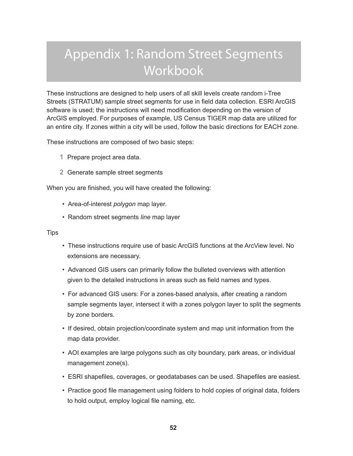# Appendix 1: Random Street Segments **Workbook**

These instructions are designed to help users of all skill levels create random i-Tree Streets (STRATUM) sample street segments for use in field data collection. ESRI ArcGIS software is used; the instructions will need modification depending on the version of ArcGIS employed. For purposes of example, US Census TIGER map data are utilized for an entire city. If zones within a city will be used, follow the basic directions for EACH zone.

These instructions are composed of two basic steps:

- **1** Prepare project area data.
- **2** Generate sample street segments

When you are finished, you will have created the following:

- Area-of-interest *polygon* map layer.
- Random street segments *line* map layer

**Tips** 

- These instructions require use of basic ArcGIS functions at the ArcView level. No extensions are necessary.
- Advanced GIS users can primarily follow the bulleted overviews with attention given to the detailed instructions in areas such as field names and types.
- For advanced GIS users: For a zones-based analysis, after creating a random sample segments layer, intersect it with a zones polygon layer to split the segments by zone borders.
- If desired, obtain projection/coordinate system and map unit information from the map data provider.
- AOI examples are large polygons such as city boundary, park areas, or individual management zone(s).
- ESRI shapefiles, coverages, or geodatabases can be used. Shapefiles are easiest.
- Practice good file management using folders to hold copies of original data, folders to hold output, employ logical file naming, etc.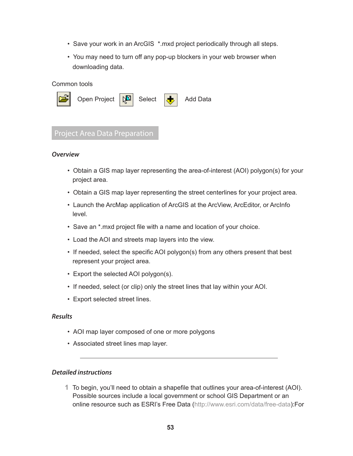- Save your work in an ArcGIS \*.mxd project periodically through all steps.
- You may need to turn off any pop-up blockers in your web browser when downloading data.

### Common tools



# Project Area Data Preparation

### *Overview*

- Obtain a GIS map layer representing the area-of-interest (AOI) polygon(s) for your project area.
- Obtain a GIS map layer representing the street centerlines for your project area.
- Launch the ArcMap application of ArcGIS at the ArcView, ArcEditor, or ArcInfo level.
- Save an \*.mxd project file with a name and location of your choice.
- Load the AOI and streets map layers into the view.
- If needed, select the specific AOI polygon(s) from any others present that best represent your project area.
- Export the selected AOI polygon(s).
- If needed, select (or clip) only the street lines that lay within your AOI.
- Export selected street lines.

### *Results*

- AOI map layer composed of one or more polygons
- Associated street lines map layer.

# *Detailed instructions*

**1** To begin, you'll need to obtain a shapefile that outlines your area-of-interest (AOI). Possible sources include a local government or school GIS Department or an online resource such as ESRI's Free Data (http://www.esri.com/data/free-data):For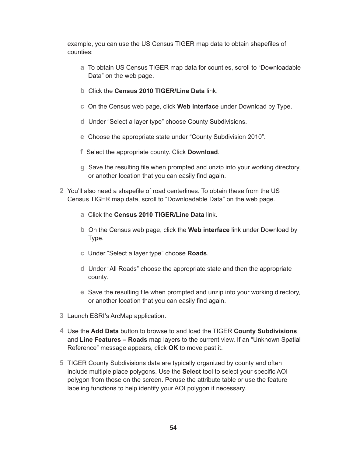example, you can use the US Census TIGER map data to obtain shapefiles of counties:

- **a** To obtain US Census TIGER map data for counties, scroll to "Downloadable Data" on the web page.
- **b** Click the **Census 2010 TIGER/Line Data** link.
- **c** On the Census web page, click **Web interface** under Download by Type.
- **d** Under "Select a layer type" choose County Subdivisions.
- **e** Choose the appropriate state under "County Subdivision 2010".
- **f** Select the appropriate county. Click **Download**.
- **g** Save the resulting file when prompted and unzip into your working directory, or another location that you can easily find again.
- **2** You'll also need a shapefile of road centerlines. To obtain these from the US Census TIGER map data, scroll to "Downloadable Data" on the web page.
	- **a** Click the **Census 2010 TIGER/Line Data** link.
	- **b** On the Census web page, click the **Web interface** link under Download by Type.
	- **c** Under "Select a layer type" choose **Roads**.
	- **d** Under "All Roads" choose the appropriate state and then the appropriate county.
	- **e** Save the resulting file when prompted and unzip into your working directory, or another location that you can easily find again.
- **3** Launch ESRI's ArcMap application.
- **4** Use the **Add Data** button to browse to and load the TIGER **County Subdivisions** and **Line Features – Roads** map layers to the current view. If an "Unknown Spatial Reference" message appears, click **OK** to move past it.
- **5** TIGER County Subdivisions data are typically organized by county and often include multiple place polygons. Use the **Select** tool to select your specific AOI polygon from those on the screen. Peruse the attribute table or use the feature labeling functions to help identify your AOI polygon if necessary.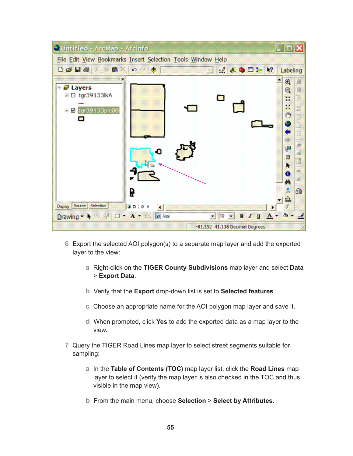

- **6** Export the selected AOI polygon(s) to a separate map layer and add the exported layer to the view:
	- **a** Right-click on the **TIGER County Subdivisions** map layer and select **Data** > **Export Data**.
	- **b** Verify that the **Export** drop-down list is set to **Selected features**.
	- **c** Choose an appropriate name for the AOI polygon map layer and save it.
	- **d** When prompted, click **Yes** to add the exported data as a map layer to the view.
- **7** Query the TIGER Road Lines map layer to select street segments suitable for sampling:
	- **a** In the **Table of Contents (TOC)** map layer list, click the **Road Lines** map layer to select it (verify the map layer is also checked in the TOC and thus visible in the map view).
	- **b** From the main menu, choose **Selection** > **Select by Attributes.**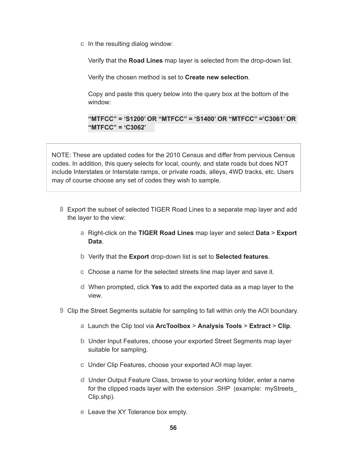**c** In the resulting dialog window:

Verify that the **Road Lines** map layer is selected from the drop-down list.

Verify the chosen method is set to **Create new selection**.

Copy and paste this query below into the query box at the bottom of the window:

**"MTFCC" = 'S1200' OR "MTFCC" = 'S1400' OR "MTFCC" ='C3061' OR "MTFCC" = 'C3062'** 

NOTE: These are updated codes for the 2010 Census and differ from pervious Census codes. In addition, this query selects for local, county, and state roads but does NOT include Interstates or Interstate ramps, or private roads, alleys, 4WD tracks, etc. Users may of course choose any set of codes they wish to sample.

- **8** Export the subset of selected TIGER Road Lines to a separate map layer and add the layer to the view:
	- **a** Right-click on the **TIGER Road Lines** map layer and select **Data** > **Export Data**.
	- **b** Verify that the **Export** drop-down list is set to **Selected features**.
	- **c** Choose a name for the selected streets line map layer and save it.
	- **d** When prompted, click **Yes** to add the exported data as a map layer to the view.
- **9** Clip the Street Segments suitable for sampling to fall within only the AOI boundary.
	- **a** Launch the Clip tool via **ArcToolbox** > **Analysis Tools** > **Extract** > **Clip**.
	- **b** Under Input Features, choose your exported Street Segments map layer suitable for sampling.
	- **c** Under Clip Features, choose your exported AOI map layer.
	- **d** Under Output Feature Class, browse to your working folder, enter a name for the clipped roads layer with the extension .SHP (example: myStreets\_ Clip.shp).
	- **e** Leave the XY Tolerance box empty.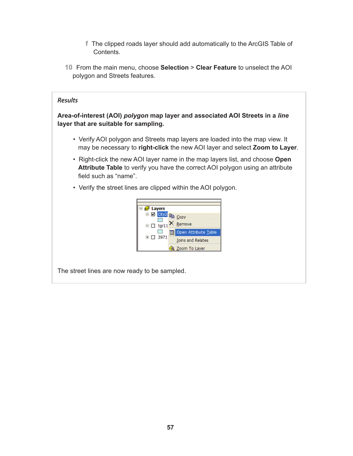- **f** The clipped roads layer should add automatically to the ArcGIS Table of Contents.
- **10** From the main menu, choose **Selection** > **Clear Feature** to unselect the AOI polygon and Streets features.

# *Results*

**Area-of-interest (AOI)** *polygon* **map layer and associated AOI Streets in a** *line* **layer that are suitable for sampling.**

- Verify AOI polygon and Streets map layers are loaded into the map view. It may be necessary to **right-click** the new AOI layer and select **Zoom to Layer**.
- Right-click the new AOI layer name in the map layers list, and choose **Open Attribute Table** to verify you have the correct AOI polygon using an attribute field such as "name".
- Verify the street lines are clipped within the AOI polygon.



The street lines are now ready to be sampled.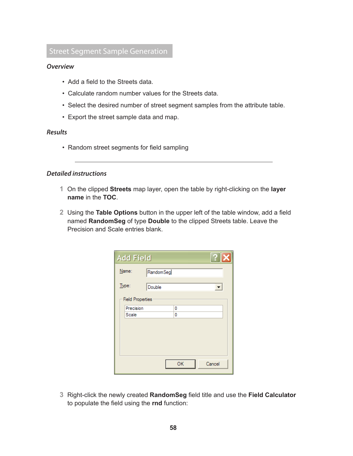# Street Segment Sample Generation

# *Overview*

- Add a field to the Streets data.
- Calculate random number values for the Streets data.
- Select the desired number of street segment samples from the attribute table.
- Export the street sample data and map.

#### *Results*

• Random street segments for field sampling

## *Detailed instructions*

- **1** On the clipped **Streets** map layer, open the table by right-clicking on the **layer name** in the **TOC**.
- **2** Using the **Table Options** button in the upper left of the table window, add a field named **RandomSeg** of type **Double** to the clipped Streets table. Leave the Precision and Scale entries blank.

| ?<br><b>Add Field</b>   |           |        |  |  |  |  |  |
|-------------------------|-----------|--------|--|--|--|--|--|
| Name:                   | RandomSeg |        |  |  |  |  |  |
| Type:                   | Double    |        |  |  |  |  |  |
| <b>Field Properties</b> |           |        |  |  |  |  |  |
| Precision               | 0         |        |  |  |  |  |  |
| Scale                   | 0         |        |  |  |  |  |  |
|                         |           |        |  |  |  |  |  |
|                         |           |        |  |  |  |  |  |
|                         |           |        |  |  |  |  |  |
|                         |           |        |  |  |  |  |  |
|                         |           |        |  |  |  |  |  |
|                         |           |        |  |  |  |  |  |
|                         | OK        | Cancel |  |  |  |  |  |
|                         |           |        |  |  |  |  |  |

**3** Right-click the newly created **RandomSeg** field title and use the **Field Calculator**  to populate the field using the **rnd** function: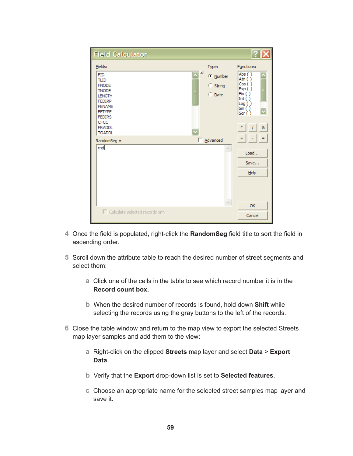| <b>Field Calculator</b>                                                                                                                                                                                    |                                                       |                                                                                                                 |
|------------------------------------------------------------------------------------------------------------------------------------------------------------------------------------------------------------|-------------------------------------------------------|-----------------------------------------------------------------------------------------------------------------|
| Fields:<br><b>FID</b><br><b>TLID</b><br><b>FNODE</b><br><b>TNODE</b><br><b>LENGTH</b><br><b>FEDIRP</b><br><b>FENAME</b><br><b>FETYPE</b><br><b>FEDIRS</b><br><b>CFCC</b><br><b>FRADDL</b><br><b>TOADDL</b> | Type:<br>킈<br>C Number<br>C String<br>$\bigcirc$ Date | Functions:<br>Abs ()<br>Atn ()<br>Cos( )<br>Exp()<br>Fix( )<br>Int $( )$<br>Log()<br>Sin( )<br>Sqr( )<br>*<br>8 |
| $RandomSeg =$                                                                                                                                                                                              | Advanced<br>п                                         | $+$<br>$=$                                                                                                      |
| rnd                                                                                                                                                                                                        |                                                       | Load<br>Save<br>Help                                                                                            |
|                                                                                                                                                                                                            | $\vee$                                                | OK                                                                                                              |
| Calculate selected records only                                                                                                                                                                            |                                                       | Cancel                                                                                                          |

- **4** Once the field is populated, right-click the **RandomSeg** field title to sort the field in ascending order.
- **5** Scroll down the attribute table to reach the desired number of street segments and select them:
	- **a** Click one of the cells in the table to see which record number it is in the **Record count box.**
	- **b** When the desired number of records is found, hold down **Shift** while selecting the records using the gray buttons to the left of the records.
- **6** Close the table window and return to the map view to export the selected Streets map layer samples and add them to the view:
	- **a** Right-click on the clipped **Streets** map layer and select **Data** > **Export Data**.
	- **b** Verify that the **Export** drop-down list is set to **Selected features**.
	- **c** Choose an appropriate name for the selected street samples map layer and save it.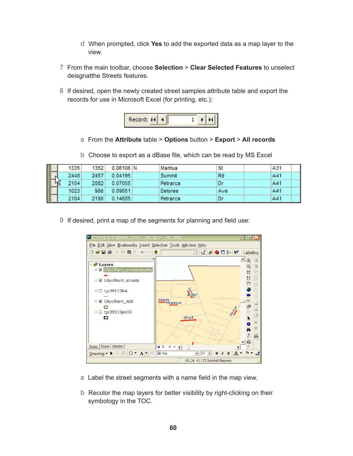- **d** When prompted, click **Yes** to add the exported data as a map layer to the view.
- **7** From the main toolbar, choose **Selection** > **Clear Selected Features** to unselect deisgnatthe Streets features.
- **8** If desired, open the newly created street samples attribute table and export the records for use in Microsoft Excel (for printing, etc.):



- **a** From the **Attribute** table > **Options** button > **Export** > **All records**
- **b** Choose to export as a dBase file, which can be read by MS Excel

| 1335 | 1352 | $0.06106$ M | Mantua   |     | 131         |
|------|------|-------------|----------|-----|-------------|
| 2448 | 2457 | 0.04195     | Summit   | Rd  | $\Delta$ 41 |
| 2104 | 2082 | 0.07055     | Petrarca |     | A41         |
| 1023 | 986  | 0.09051     | Delores  | Ave | A41         |
| 2104 | 2190 | 0.14685     | Petrarca |     |             |

**9** If desired, print a map of the segments for planning and field use:



- **a** Label the street segments with a name field in the map view.
- **b** Recolor the map layers for better visibility by right-clicking on their symbology in the TOC.